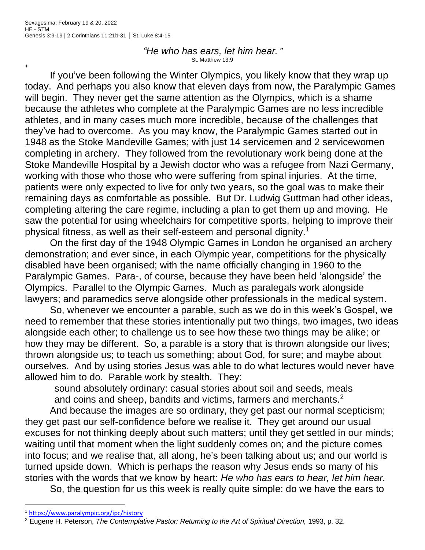+

*"He who has ears, let him hear.*@ St. Matthew 13:9

If you've been following the Winter Olympics, you likely know that they wrap up today. And perhaps you also know that eleven days from now, the Paralympic Games will begin. They never get the same attention as the Olympics, which is a shame because the athletes who complete at the Paralympic Games are no less incredible athletes, and in many cases much more incredible, because of the challenges that they've had to overcome. As you may know, the Paralympic Games started out in 1948 as the Stoke Mandeville Games; with just 14 servicemen and 2 servicewomen completing in archery. They followed from the revolutionary work being done at the Stoke Mandeville Hospital by a Jewish doctor who was a refugee from Nazi Germany, working with those who those who were suffering from spinal injuries. At the time, patients were only expected to live for only two years, so the goal was to make their remaining days as comfortable as possible. But Dr. Ludwig Guttman had other ideas, completing altering the care regime, including a plan to get them up and moving. He saw the potential for using wheelchairs for competitive sports, helping to improve their physical fitness, as well as their self-esteem and personal dignity.<sup>1</sup>

On the first day of the 1948 Olympic Games in London he organised an archery demonstration; and ever since, in each Olympic year, competitions for the physically disabled have been organised; with the name officially changing in 1960 to the Paralympic Games. Para-, of course, because they have been held 'alongside' the Olympics. Parallel to the Olympic Games. Much as paralegals work alongside lawyers; and paramedics serve alongside other professionals in the medical system.

So, whenever we encounter a parable, such as we do in this week's Gospel, we need to remember that these stories intentionally put two things, two images, two ideas alongside each other; to challenge us to see how these two things may be alike; or how they may be different. So, a parable is a story that is thrown alongside our lives; thrown alongside us; to teach us something; about God, for sure; and maybe about ourselves. And by using stories Jesus was able to do what lectures would never have allowed him to do. Parable work by stealth. They:

sound absolutely ordinary: casual stories about soil and seeds, meals and coins and sheep, bandits and victims, farmers and merchants.<sup>2</sup>

And because the images are so ordinary, they get past our normal scepticism; they get past our self-confidence before we realise it. They get around our usual excuses for not thinking deeply about such matters; until they get settled in our minds; waiting until that moment when the light suddenly comes on; and the picture comes into focus; and we realise that, all along, he's been talking about us; and our world is turned upside down. Which is perhaps the reason why Jesus ends so many of his stories with the words that we know by heart: *He who has ears to hear, let him hear.*

So, the question for us this week is really quite simple: do we have the ears to

<sup>1</sup> <https://www.paralympic.org/ipc/history>

<sup>&</sup>lt;sup>2</sup> Eugene H. Peterson, *The Contemplative Pastor: Returning to the Art of Spiritual Direction, 1993, p. 32.*